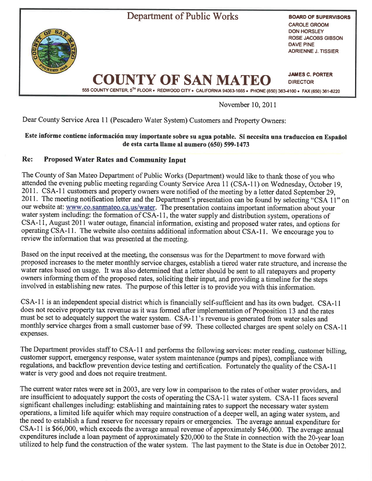

Novernber 10, 20l l

Dear County Service Area 11 (Pescadero Water System) Customers and Property Owners:

## Este informe contiene información muy Ímportante sobre su agua potable. Si necesita una traduccion en Español de esta carta llame al numero (650) 599-1473

## Re: Proposed Water Rates and Community Input

The County of San Mateo Department of Public Works (Department) would like to thank those of you who attended the evening public meeting regarding County Seryice Area 11 (CSA-I1) on Wednesday, October 19, 2011. CSA-I1 customers and property owners were notified of the meeting by a letter dated September 29, 201I. The meeting notification letter and the Department's presentation can be found by selecting "CSA l l" on our website at: www.co.sanmateo.ca.us/water. The presentation contains important information about your water system including: the formation of CSA-11, the water supply and distribution system, operations of CSA-I1, August 201I water outage, financial information, existing and proposed water rates, and options for operating CSA-I l. The website also contains additional information about CSA-I1. We encourage you to review the information that was presented at the meeting.

Based on the input received at the meeting, the consensus was for the Department to move forward with proposed increases to the meter monthly service charges, establish a tiered water rate strucfure, and increase the water rates based on usage. It was also determined that a letter should be sent to all ratepayers and property owners informing them of the proposed rates, soliciting their input, and providing a timeline for the steps involved in establishing new rates. The purpose of this letter is to provide you with this information.

CSA-11 is an independent special district which is financially self-sufficient and has its own budget. CSA-I I does not receive property tax revenue as it was formed after implementation of Proposition 13 and the rates must be set to adequately support the water systern. CSA-I1's revenue is generated from water sales and monthly service charges from a small customer base of 99. These collected charges are spent solely on CSA-I1 expenses.

The Department provides staff to CSA-11 and performs the following services: meter reading, customer billing, customer support, emergency response, water systern maintenance (pumps and pipes), compliance with regulations, and backflow prevention device testing and certification. Fortunately the quality of the CSA-I1 water is very good and does not require treatment.

The current water rates were set in 2003, are very low in comparison to the rates of other water providers, and are insufficient to adequately support the costs of operating the CSA-I1 water system. CSA-I1 faces several significant challenges including: establishing and maintaining rates to support the necessary water system operations, a limited life aquifer which may require construction of a deeper well, an aging water system, and the need to establish a fund reserve for necessary repairs or emergencies. The average annual expenditure for CSA-I1 is \$66,000, which exceeds the average annual revenue of approximately \$46,000. The average annual expenditures include a loan payment of approximately \$20,000 to the State in connection with the 2O-year loan utilized to help fund the construction of the water system. The last payment to the State is due in October 2012.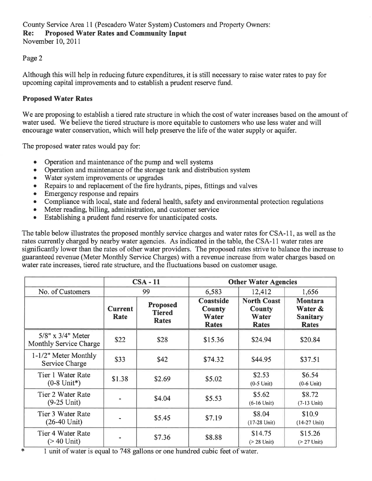#### Page 2

Although this will help in reducing future expenditures, it is still necessary to raise water rates to pay for upcoming capital improvements and to establish a prudent reserve fund.

# Proposed Water Rates

We are proposing to establish a tiered rate structure in which the cost of water increases based on the amount of water used. We believe the tiered structure is more equitable to customers who use less water and will encourage water conservation, which will help preserve the life of the water supply or aquifer.

The proposed water rates would pay for:

- Operation and maintenance of the pump and well systems
- Operation and maintenance of the storage tank and distribution system
- Water system improvements or upgrades
- Repairs to and replacement of the fire hydrants, pipes, fittings and valves
- Emergency response and repairs
- Compliance with local, state and federal health, safety and environmental protection regulations
- Meter reading, billing, administration, and customer service
- Establishing a prudent fund reserve for unanticipated costs.

The table below illustrates the proposed monthly service charges and water rates for CSA-I1, as well as the rates currently charged by nearby water agencies. As indicated in the table, the CSA-I1 water rates are significantly lower than the rates of other water providers. The proposed rates strive to balance the increase to guaranteed revenue (Meter Monthly Service Charges) with a revenue increase from water charges based on water rate increases, tiered rate structure, and the fluctuations based on customer usage.

|                                                 | $CSA - 11$             |                                                  | <b>Other Water Agencies</b>                                                                                                                                                                                                                                                                                                 |                                                |                                                              |
|-------------------------------------------------|------------------------|--------------------------------------------------|-----------------------------------------------------------------------------------------------------------------------------------------------------------------------------------------------------------------------------------------------------------------------------------------------------------------------------|------------------------------------------------|--------------------------------------------------------------|
| No. of Customers                                | 99                     |                                                  | 6,583                                                                                                                                                                                                                                                                                                                       | 12,412                                         | 1,656                                                        |
|                                                 | <b>Current</b><br>Rate | <b>Proposed</b><br><b>Tiered</b><br><b>Rates</b> | Coastside<br><b>County</b><br>Water<br><b>Rates</b>                                                                                                                                                                                                                                                                         | <b>North Coast</b><br>County<br>Water<br>Rates | <b>Montara</b><br>Water &<br><b>Sanitary</b><br><b>Rates</b> |
| $5/8"$ x $3/4"$ Meter<br>Monthly Service Charge | \$22                   | \$28                                             | \$15.36                                                                                                                                                                                                                                                                                                                     | \$24.94                                        | \$20.84                                                      |
| 1-1/2" Meter Monthly<br>Service Charge          | \$33                   | \$42                                             | \$74.32                                                                                                                                                                                                                                                                                                                     | \$44.95                                        | \$37.51                                                      |
| Tier 1 Water Rate<br>$(0-8 \text{ Unit*})$      | \$1.38                 | \$2.69                                           | \$5.02                                                                                                                                                                                                                                                                                                                      | \$2.53<br>$(0-5 \text{ Unit})$                 | \$6.54<br>$(0-6$ Unit)                                       |
| Tier 2 Water Rate<br>$(9-25 \text{ Unit})$      |                        | \$4.04                                           | \$5.53                                                                                                                                                                                                                                                                                                                      | \$5.62<br>$(6-16 \text{ Unit})$                | \$8.72<br>$(7-13$ Unit)                                      |
| Tier 3 Water Rate<br>$(26-40 \text{ Unit})$     |                        | \$5.45                                           | \$7.19                                                                                                                                                                                                                                                                                                                      | \$8.04<br>$(17-28 \text{ Unit})$               | \$10.9<br>$(14-27 \text{ Unit})$                             |
| Tier 4 Water Rate<br>$($ 240 Unit)              |                        | \$7.36<br>$-1$                                   | \$8.88<br>$\ddot{ }$ $\ddot{ }$ $\ddot{ }$ $\ddot{ }$ $\ddot{ }$ $\ddot{ }$ $\ddot{ }$ $\ddot{ }$ $\ddot{ }$ $\ddot{ }$ $\ddot{ }$ $\ddot{ }$ $\ddot{ }$ $\ddot{ }$ $\ddot{ }$ $\ddot{ }$ $\ddot{ }$ $\ddot{ }$ $\ddot{ }$ $\ddot{ }$ $\ddot{ }$ $\ddot{ }$ $\ddot{ }$ $\ddot{ }$ $\ddot{ }$ $\ddot{ }$ $\ddot{ }$ $\ddot{$ | \$14.75<br>$($ 28 Unit)                        | \$15.26<br>$($ 27 Unit)                                      |

{< I unit of water is equal to 7 48 gallons or one hundred cubic feet of water.